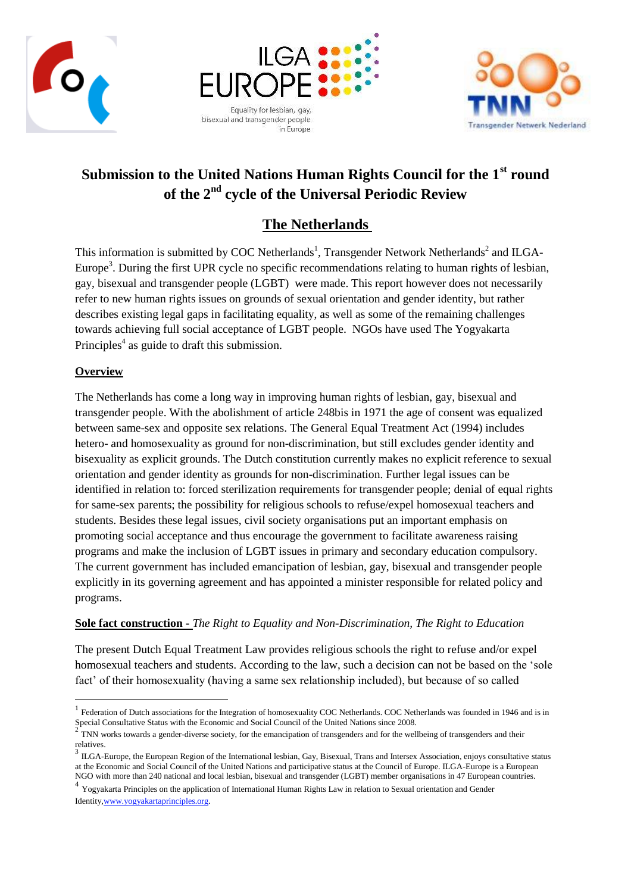





# **Submission to the United Nations Human Rights Council for the 1st round of the 2nd cycle of the Universal Periodic Review**

# **The Netherlands**

This information is submitted by COC Netherlands<sup>1</sup>, Transgender Network Netherlands<sup>2</sup> and ILGA-Europe<sup>3</sup>. During the first UPR cycle no specific recommendations relating to human rights of lesbian, gay, bisexual and transgender people (LGBT) were made. This report however does not necessarily refer to new human rights issues on grounds of sexual orientation and gender identity, but rather describes existing legal gaps in facilitating equality, as well as some of the remaining challenges towards achieving full social acceptance of LGBT people. NGOs have used The Yogyakarta Principles<sup>4</sup> as guide to draft this submission.

# **Overview**

 $\overline{a}$ 

The Netherlands has come a long way in improving human rights of lesbian, gay, bisexual and transgender people. With the abolishment of article 248bis in 1971 the age of consent was equalized between same-sex and opposite sex relations. The General Equal Treatment Act (1994) includes hetero- and homosexuality as ground for non-discrimination, but still excludes gender identity and bisexuality as explicit grounds. The Dutch constitution currently makes no explicit reference to sexual orientation and gender identity as grounds for non-discrimination. Further legal issues can be identified in relation to: forced sterilization requirements for transgender people; denial of equal rights for same-sex parents; the possibility for religious schools to refuse/expel homosexual teachers and students. Besides these legal issues, civil society organisations put an important emphasis on promoting social acceptance and thus encourage the government to facilitate awareness raising programs and make the inclusion of LGBT issues in primary and secondary education compulsory. The current government has included emancipation of lesbian, gay, bisexual and transgender people explicitly in its governing agreement and has appointed a minister responsible for related policy and programs.

#### **Sole fact construction -** *The Right to Equality and Non-Discrimination, The Right to Education*

The present Dutch Equal Treatment Law provides religious schools the right to refuse and/or expel homosexual teachers and students. According to the law, such a decision can not be based on the 'sole fact' of their homosexuality (having a same sex relationship included), but because of so called

 $1$  Federation of Dutch associations for the Integration of homosexuality COC Netherlands. COC Netherlands was founded in 1946 and is in Special Consultative Status with the Economic and Social Council of the United Nations since 2008.<br><sup>2</sup> TNN weaks tenurely a gradual diverse seriety for the enverying information of tenures and for the sur-

TNN works towards a gender-diverse society, for the emancipation of transgenders and for the wellbeing of transgenders and their relatives.

 $3 \text{ ILGA-Europe}$ , the European Region of the International lesbian, Gay, Bisexual, Trans and Intersex Association, enjoys consultative status at the Economic and Social Council of the United Nations and participative status at the Council of Europe. ILGA-Europe is a European NGO with more than 240 national and local lesbian, bisexual and transgender (LGBT) member organisations in 47 European countries.

<sup>&</sup>lt;sup>4</sup> Yogyakarta Principles on the application of International Human Rights Law in relation to Sexual orientation and Gender Identit[y,www.yogyakartaprinciples.org.](http://www.yogyakartaprinciples.org/)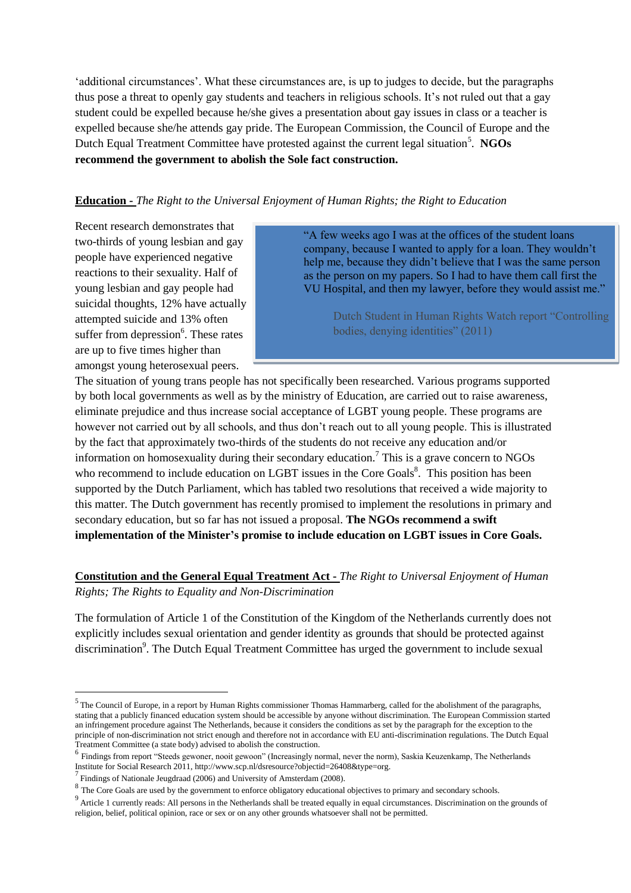'additional circumstances'. What these circumstances are, is up to judges to decide, but the paragraphs thus pose a threat to openly gay students and teachers in religious schools. It's not ruled out that a gay student could be expelled because he/she gives a presentation about gay issues in class or a teacher is expelled because she/he attends gay pride. The European Commission, the Council of Europe and the Dutch Equal Treatment Committee have protested against the current legal situation<sup>5</sup>. NGOs **recommend the government to abolish the Sole fact construction.** 

#### **Education -** *The Right to the Universal Enjoyment of Human Rights; the Right to Education*

Recent research demonstrates that two-thirds of young lesbian and gay people have experienced negative reactions to their sexuality. Half of young lesbian and gay people had suicidal thoughts, 12% have actually attempted suicide and 13% often suffer from depression<sup>6</sup>. These rates are up to five times higher than amongst young heterosexual peers.

"A few weeks ago I was at the offices of the student loans company, because I wanted to apply for a loan. They wouldn't help me, because they didn't believe that I was the same person as the person on my papers. So I had to have them call first the VU Hospital, and then my lawyer, before they would assist me."

> Dutch Student in Human Rights Watch report "Controlling bodies, denying identities" (2011)

The situation of young trans people has not specifically been researched. Various programs supported by both local governments as well as by the ministry of Education, are carried out to raise awareness, eliminate prejudice and thus increase social acceptance of LGBT young people. These programs are however not carried out by all schools, and thus don't reach out to all young people. This is illustrated by the fact that approximately two-thirds of the students do not receive any education and/or information on homosexuality during their secondary education.<sup>7</sup> This is a grave concern to NGOs who recommend to include education on LGBT issues in the Core Goals<sup>8</sup>. This position has been supported by the Dutch Parliament, which has tabled two resolutions that received a wide majority to this matter. The Dutch government has recently promised to implement the resolutions in primary and secondary education, but so far has not issued a proposal. **The NGOs recommend a swift implementation of the Minister's promise to include education on LGBT issues in Core Goals.**

# **Constitution and the General Equal Treatment Act -** *The Right to Universal Enjoyment of Human Rights; The Rights to Equality and Non-Discrimination*

The formulation of Article 1 of the Constitution of the Kingdom of the Netherlands currently does not explicitly includes sexual orientation and gender identity as grounds that should be protected against discrimination<sup>9</sup>. The Dutch Equal Treatment Committee has urged the government to include sexual

 $\overline{a}$ 

 $<sup>9</sup>$  Article 1 currently reads: All persons in the Netherlands shall be treated equally in equal circumstances. Discrimination on the grounds of</sup> religion, belief, political opinion, race or sex or on any other grounds whatsoever shall not be permitted.

 $<sup>5</sup>$  The Council of Europe, in a report by Human Rights commissioner Thomas Hammarberg, called for the abolishment of the paragraphs,</sup> stating that a publicly financed education system should be accessible by anyone without discrimination. The European Commission started an infringement procedure against The Netherlands, because it considers the conditions as set by the paragraph for the exception to the principle of non-discrimination not strict enough and therefore not in accordance with EU anti-discrimination regulations. The Dutch Equal Treatment Committee (a state body) advised to abolish the construction.

<sup>&</sup>lt;sup>6</sup> Findings from report "Steeds gewoner, nooit gewoon" (Increasingly normal, never the norm), Saskia Keuzenkamp, The Netherlands Institute for Social Research 2011[, http://www.scp.nl/dsresource?objectid=26408&type=org.](http://www.scp.nl/dsresource?objectid=26408&type=org)

<sup>&</sup>lt;sup>7</sup> Findings of Nationale Jeugdraad (2006) and University of Amsterdam (2008).

 $8$  The Core Goals are used by the government to enforce obligatory educational objectives to primary and secondary schools.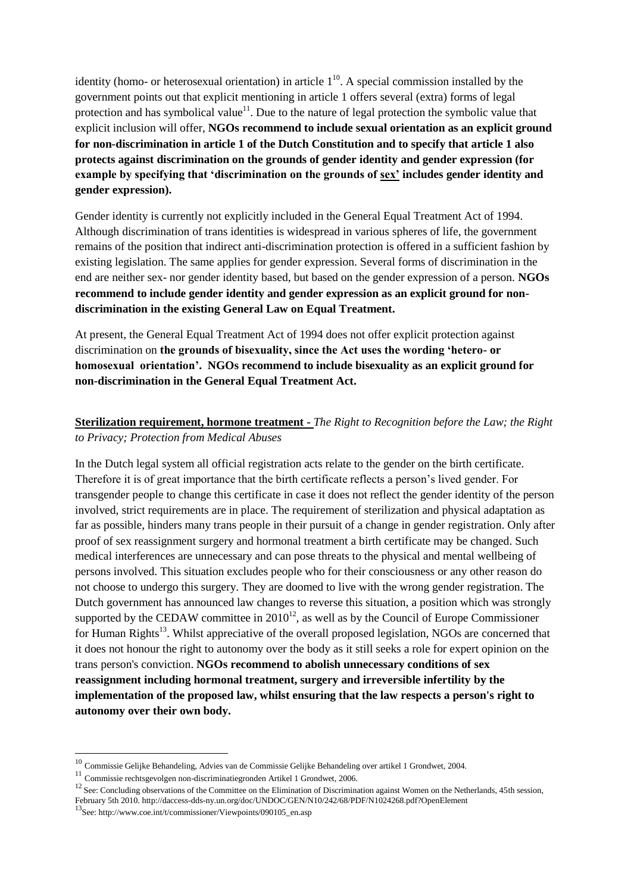identity (homo- or heterosexual orientation) in article  $1<sup>10</sup>$ . A special commission installed by the government points out that explicit mentioning in article 1 offers several (extra) forms of legal protection and has symbolical value<sup>11</sup>. Due to the nature of legal protection the symbolic value that explicit inclusion will offer, **NGOs recommend to include sexual orientation as an explicit ground for non-discrimination in article 1 of the Dutch Constitution and to specify that article 1 also protects against discrimination on the grounds of gender identity and gender expression (for example by specifying that 'discrimination on the grounds of sex' includes gender identity and gender expression).**

Gender identity is currently not explicitly included in the General Equal Treatment Act of 1994. Although discrimination of trans identities is widespread in various spheres of life, the government remains of the position that indirect anti-discrimination protection is offered in a sufficient fashion by existing legislation. The same applies for gender expression. Several forms of discrimination in the end are neither sex- nor gender identity based, but based on the gender expression of a person. **NGOs recommend to include gender identity and gender expression as an explicit ground for nondiscrimination in the existing General Law on Equal Treatment.**

At present, the General Equal Treatment Act of 1994 does not offer explicit protection against discrimination on **the grounds of bisexuality, since the Act uses the wording 'hetero- or homosexual orientation'. NGOs recommend to include bisexuality as an explicit ground for non-discrimination in the General Equal Treatment Act.**

# **Sterilization requirement, hormone treatment -** *The Right to Recognition before the Law; the Right to Privacy; Protection from Medical Abuses*

In the Dutch legal system all official registration acts relate to the gender on the birth certificate. Therefore it is of great importance that the birth certificate reflects a person's lived gender. For transgender people to change this certificate in case it does not reflect the gender identity of the person involved, strict requirements are in place. The requirement of sterilization and physical adaptation as far as possible, hinders many trans people in their pursuit of a change in gender registration. Only after proof of sex reassignment surgery and hormonal treatment a birth certificate may be changed. Such medical interferences are unnecessary and can pose threats to the physical and mental wellbeing of persons involved. This situation excludes people who for their consciousness or any other reason do not choose to undergo this surgery. They are doomed to live with the wrong gender registration. The Dutch government has announced law changes to reverse this situation, a position which was strongly supported by the CEDAW committee in  $2010^{12}$ , as well as by the Council of Europe Commissioner for Human Rights<sup>13</sup>. Whilst appreciative of the overall proposed legislation, NGOs are concerned that it does not honour the right to autonomy over the body as it still seeks a role for expert opinion on the trans person's conviction. **NGOs recommend to abolish unnecessary conditions of sex reassignment including hormonal treatment, surgery and irreversible infertility by the implementation of the proposed law, whilst ensuring that the law respects a person's right to autonomy over their own body.**

 $\overline{a}$ 

<sup>10</sup> Commissie Gelijke Behandeling, Advies van de Commissie Gelijke Behandeling over artikel 1 Grondwet, 2004.

<sup>11</sup> Commissie rechtsgevolgen non-discriminatiegronden Artikel 1 Grondwet, 2006.

<sup>&</sup>lt;sup>12</sup> See: Concluding observations of the Committee on the Elimination of Discrimination against Women on the Netherlands, 45th session,

February 5th 2010.<http://daccess-dds-ny.un.org/doc/UNDOC/GEN/N10/242/68/PDF/N1024268.pdf?OpenElement>

<sup>13</sup>See: http://www.coe.int/t/commissioner/Viewpoints/090105\_en.asp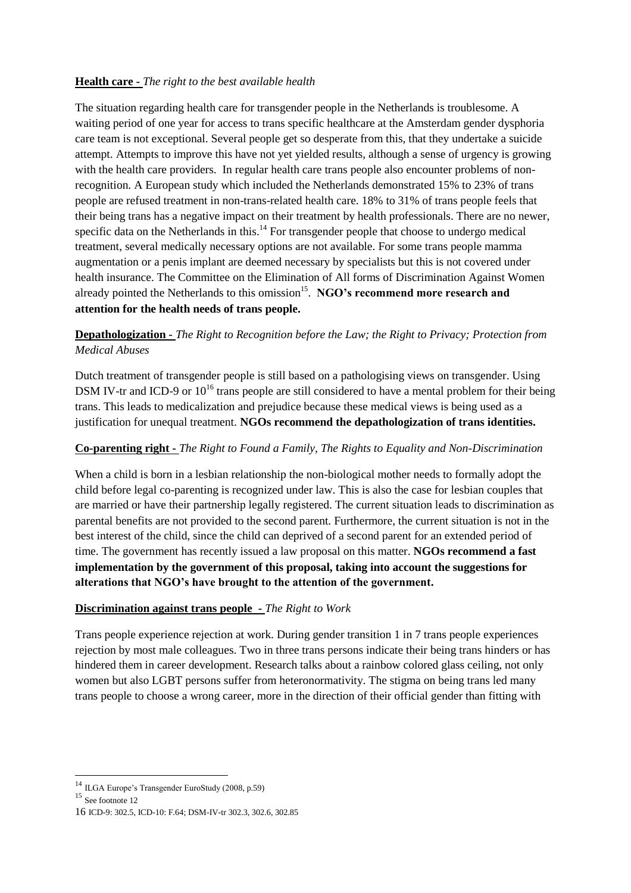# **Health care -** *The right to the best available health*

The situation regarding health care for transgender people in the Netherlands is troublesome. A waiting period of one year for access to trans specific healthcare at the Amsterdam gender dysphoria care team is not exceptional. Several people get so desperate from this, that they undertake a suicide attempt. Attempts to improve this have not yet yielded results, although a sense of urgency is growing with the health care providers. In regular health care trans people also encounter problems of nonrecognition. A European study which included the Netherlands demonstrated 15% to 23% of trans people are refused treatment in non-trans-related health care. 18% to 31% of trans people feels that their being trans has a negative impact on their treatment by health professionals. There are no newer, specific data on the Netherlands in this.<sup>14</sup> For transgender people that choose to undergo medical treatment, several medically necessary options are not available. For some trans people mamma augmentation or a penis implant are deemed necessary by specialists but this is not covered under health insurance. The Committee on the Elimination of All forms of Discrimination Against Women already pointed the Netherlands to this omission<sup>15</sup>. NGO's recommend more research and **attention for the health needs of trans people.**

# **Depathologization -** *The Right to Recognition before the Law; the Right to Privacy; Protection from Medical Abuses*

Dutch treatment of transgender people is still based on a pathologising views on transgender. Using DSM IV-tr and ICD-9 or  $10^{16}$  trans people are still considered to have a mental problem for their being trans. This leads to medicalization and prejudice because these medical views is being used as a justification for unequal treatment. **NGOs recommend the depathologization of trans identities.**

#### **Co-parenting right -** *The Right to Found a Family, The Rights to Equality and Non-Discrimination*

When a child is born in a lesbian relationship the non-biological mother needs to formally adopt the child before legal co-parenting is recognized under law. This is also the case for lesbian couples that are married or have their partnership legally registered. The current situation leads to discrimination as parental benefits are not provided to the second parent. Furthermore, the current situation is not in the best interest of the child, since the child can deprived of a second parent for an extended period of time. The government has recently issued a law proposal on this matter. **NGOs recommend a fast implementation by the government of this proposal, taking into account the suggestions for alterations that NGO's have brought to the attention of the government.** 

#### **Discrimination against trans people -** *The Right to Work*

Trans people experience rejection at work. During gender transition 1 in 7 trans people experiences rejection by most male colleagues. Two in three trans persons indicate their being trans hinders or has hindered them in career development. Research talks about a rainbow colored glass ceiling, not only women but also LGBT persons suffer from heteronormativity. The stigma on being trans led many trans people to choose a wrong career, more in the direction of their official gender than fitting with

 $\overline{a}$ 

<sup>&</sup>lt;sup>14</sup> ILGA Europe's Transgender EuroStudy (2008, p.59)

 $^{15}$  See footnote  $12$ 

<sup>16</sup> ICD-9: 302.5, ICD-10: F.64; DSM-IV-tr 302.3, 302.6, 302.85